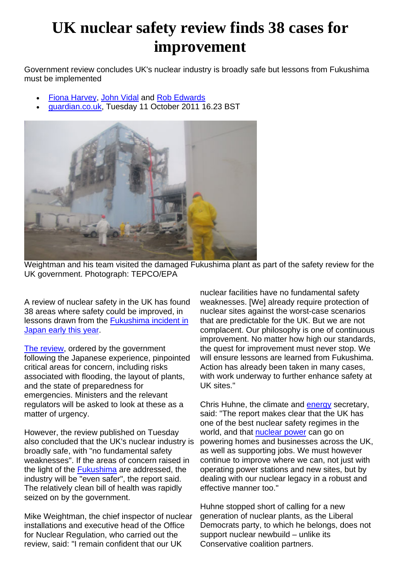## **UK nuclear safety review finds 38 cases for improvement**

Government review concludes UK's nuclear industry is broadly safe but lessons from Fukushima must be implemented

- [Fiona Harvey](http://www.guardian.co.uk/profile/fiona-harvey), [John Vidal](http://www.guardian.co.uk/profile/johnvidal) and [Rob Edwards](http://www.guardian.co.uk/profile/rob-edwards)
- [guardian.co.uk,](http://www.guardian.co.uk/) Tuesday 11 October 2011 16.23 BST



Weightman and his team visited the damaged Fukushima plant as part of the safety review for the UK government. Photograph: TEPCO/EPA

A review of nuclear safety in the UK has found 38 areas where safety could be improved, in lessons drawn from the [Fukushima incident in](http://www.guardian.co.uk/world/2011/mar/14/japan-radiation-leak-cover-up)  [Japan early this year.](http://www.guardian.co.uk/world/2011/mar/14/japan-radiation-leak-cover-up)

[The review,](http://www.hse.gov.uk/nuclear/fukushima/) ordered by the government following the Japanese experience, pinpointed critical areas for concern, including risks associated with flooding, the layout of plants, and the state of preparedness for emergencies. Ministers and the relevant regulators will be asked to look at these as a matter of urgency.

However, the review published on Tuesday also concluded that the UK's nuclear industry is broadly safe, with "no fundamental safety weaknesses". If the areas of concern raised in the light of the [Fukushima](http://www.guardian.co.uk/environment/fukushima) are addressed, the industry will be "even safer", the report said. The relatively clean bill of health was rapidly seized on by the government.

Mike Weightman, the chief inspector of nuclear installations and executive head of the Office for Nuclear Regulation, who carried out the review, said: "I remain confident that our UK

nuclear facilities have no fundamental safety weaknesses. [We] already require protection of nuclear sites against the worst-case scenarios that are predictable for the UK. But we are not complacent. Our philosophy is one of continuous improvement. No matter how high our standards, the quest for improvement must never stop. We will ensure lessons are learned from Fukushima. Action has already been taken in many cases, with work underway to further enhance safety at UK sites."

Chris Huhne, the climate and [energy](http://www.guardian.co.uk/environment/energy) secretary, said: "The report makes clear that the UK has one of the best nuclear safety regimes in the world, and that [nuclear power](http://www.guardian.co.uk/environment/nuclearpower) can go on powering homes and businesses across the UK, as well as supporting jobs. We must however continue to improve where we can, not just with operating power stations and new sites, but by dealing with our nuclear legacy in a robust and effective manner too."

Huhne stopped short of calling for a new generation of nuclear plants, as the Liberal Democrats party, to which he belongs, does not support nuclear newbuild – unlike its Conservative coalition partners.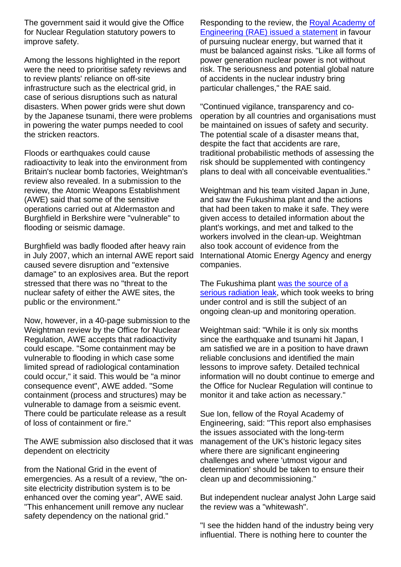The government said it would give the Office for Nuclear Regulation statutory powers to improve safety.

Among the lessons highlighted in the report were the need to prioritise safety reviews and to review plants' reliance on off-site infrastructure such as the electrical grid, in case of serious disruptions such as natural disasters. When power grids were shut down by the Japanese tsunami, there were problems in powering the water pumps needed to cool the stricken reactors.

Floods or earthquakes could cause radioactivity to leak into the environment from Britain's nuclear bomb factories, Weightman's review also revealed. In a submission to the review, the Atomic Weapons Establishment (AWE) said that some of the sensitive operations carried out at Aldermaston and Burghfield in Berkshire were "vulnerable" to flooding or seismic damage.

Burghfield was badly flooded after heavy rain in July 2007, which an internal AWE report said caused severe disruption and "extensive damage" to an explosives area. But the report stressed that there was no "threat to the nuclear safety of either the AWE sites, the public or the environment."

Now, however, in a 40-page submission to the Weightman review by the Office for Nuclear Regulation, AWE accepts that radioactivity could escape. "Some containment may be vulnerable to flooding in which case some limited spread of radiological contamination could occur," it said. This would be "a minor consequence event", AWE added. "Some containment (process and structures) may be vulnerable to damage from a seismic event. There could be particulate release as a result of loss of containment or fire."

The AWE submission also disclosed that it was dependent on electricity

from the National Grid in the event of emergencies. As a result of a review, "the onsite electricity distribution system is to be enhanced over the coming year", AWE said. "This enhancement unill remove any nuclear safety dependency on the national grid."

Responding to the review, the [Royal Academy of](http://www.raeng.org.uk/news/releases/shownews.htm?NewsID=692)  [Engineering \(RAE\) issued a statement](http://www.raeng.org.uk/news/releases/shownews.htm?NewsID=692) in favour of pursuing nuclear energy, but warned that it must be balanced against risks. "Like all forms of power generation nuclear power is not without risk. The seriousness and potential global nature of accidents in the nuclear industry bring particular challenges," the RAE said.

"Continued vigilance, transparency and cooperation by all countries and organisations must be maintained on issues of safety and security. The potential scale of a disaster means that, despite the fact that accidents are rare, traditional probabilistic methods of assessing the risk should be supplemented with contingency plans to deal with all conceivable eventualities."

Weightman and his team visited Japan in June, and saw the Fukushima plant and the actions that had been taken to make it safe. They were given access to detailed information about the plant's workings, and met and talked to the workers involved in the clean-up. Weightman also took account of evidence from the International Atomic Energy Agency and energy companies.

The Fukushima plant [was the source of a](http://www.guardian.co.uk/world/2011/jun/07/japan-doubles-fukushima-radiation-leak-estimate)  [serious radiation leak](http://www.guardian.co.uk/world/2011/jun/07/japan-doubles-fukushima-radiation-leak-estimate), which took weeks to bring under control and is still the subject of an ongoing clean-up and monitoring operation.

Weightman said: "While it is only six months since the earthquake and tsunami hit Japan, I am satisfied we are in a position to have drawn reliable conclusions and identified the main lessons to improve safety. Detailed technical information will no doubt continue to emerge and the Office for Nuclear Regulation will continue to monitor it and take action as necessary."

Sue Ion, fellow of the Royal Academy of Engineering, said: "This report also emphasises the issues associated with the long-term management of the UK's historic legacy sites where there are significant engineering challenges and where 'utmost vigour and determination' should be taken to ensure their clean up and decommissioning."

But independent nuclear analyst John Large said the review was a "whitewash".

"I see the hidden hand of the industry being very influential. There is nothing here to counter the